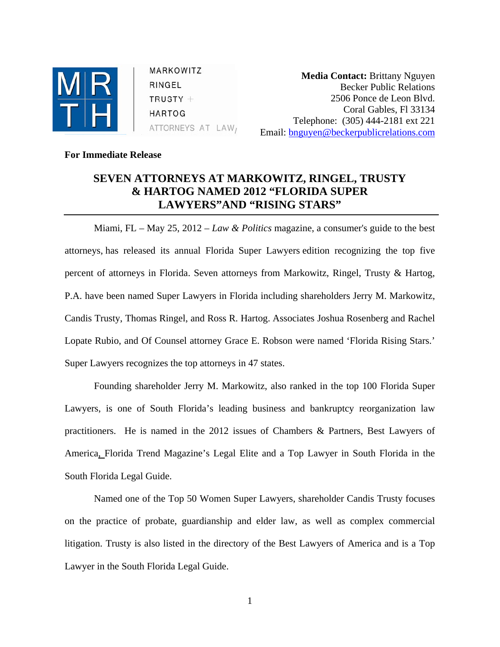

MARKOWITZ RINGEL  $TRUSTY +$ **HARTOG** ATTORNEYS AT LAW,

**Media Contact:** Brittany Nguyen Becker Public Relations 2506 Ponce de Leon Blvd. Coral Gables, Fl 33134 Telephone: (305) 444-2181 ext 221 Email: [bnguyen@beckerpublicrelations.com](mailto:bnguyen@beckerpublicrelations.com)

## **For Immediate Release**

## **SEVEN ATTORNEYS AT MARKOWITZ, RINGEL, TRUSTY & HARTOG NAMED 2012 "FLORIDA SUPER LAWYERS"AND "RISING STARS"**

Miami, FL – May 25, 2012 – *Law & Politics* magazine, a consumer's guide to the best attorneys, has released its annual Florida Super Lawyers edition recognizing the top five percent of attorneys in Florida. Seven attorneys from Markowitz, Ringel, Trusty & Hartog, P.A. have been named Super Lawyers in Florida including shareholders Jerry M. Markowitz, Candis Trusty, Thomas Ringel, and Ross R. Hartog. Associates Joshua Rosenberg and Rachel Lopate Rubio, and Of Counsel attorney Grace E. Robson were named 'Florida Rising Stars.' Super Lawyers recognizes the top attorneys in 47 states.

Founding shareholder Jerry M. Markowitz, also ranked in the top 100 Florida Super Lawyers, is one of South Florida's leading business and bankruptcy reorganization law practitioners. He is named in the 2012 issues of Chambers & Partners, Best Lawyers of America, Florida Trend Magazine's Legal Elite and a Top Lawyer in South Florida in the South Florida Legal Guide.

Named one of the Top 50 Women Super Lawyers, shareholder Candis Trusty focuses on the practice of probate, guardianship and elder law, as well as complex commercial litigation. Trusty is also listed in the directory of the Best Lawyers of America and is a Top Lawyer in the South Florida Legal Guide.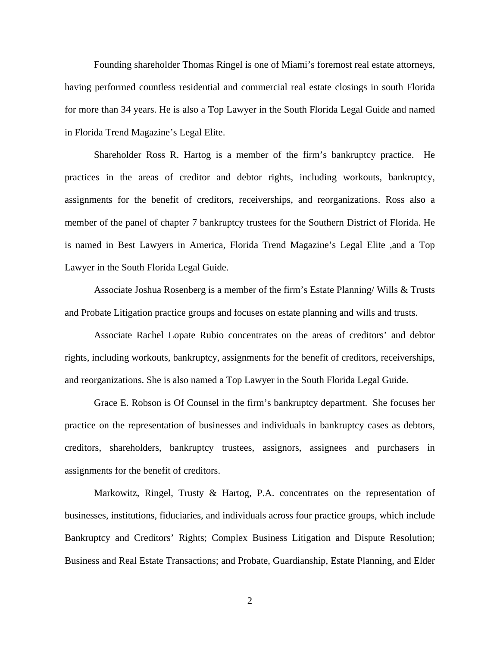Founding shareholder Thomas Ringel is one of Miami's foremost real estate attorneys, having performed countless residential and commercial real estate closings in south Florida for more than 34 years. He is also a Top Lawyer in the South Florida Legal Guide and named in Florida Trend Magazine's Legal Elite.

Shareholder Ross R. Hartog is a member of the firm's bankruptcy practice. He practices in the areas of creditor and debtor rights, including workouts, bankruptcy, assignments for the benefit of creditors, receiverships, and reorganizations. Ross also a member of the panel of chapter 7 bankruptcy trustees for the Southern District of Florida. He is named in Best Lawyers in America, Florida Trend Magazine's Legal Elite ,and a Top Lawyer in the South Florida Legal Guide.

Associate Joshua Rosenberg is a member of the firm's Estate Planning/ Wills & Trusts and Probate Litigation practice groups and focuses on estate planning and wills and trusts.

Associate Rachel Lopate Rubio concentrates on the areas of creditors' and debtor rights, including workouts, bankruptcy, assignments for the benefit of creditors, receiverships, and reorganizations. She is also named a Top Lawyer in the South Florida Legal Guide.

Grace E. Robson is Of Counsel in the firm's bankruptcy department. She focuses her practice on the representation of businesses and individuals in bankruptcy cases as debtors, creditors, shareholders, bankruptcy trustees, assignors, assignees and purchasers in assignments for the benefit of creditors.

Markowitz, Ringel, Trusty & Hartog, P.A. concentrates on the representation of businesses, institutions, fiduciaries, and individuals across four practice groups, which include Bankruptcy and Creditors' Rights; Complex Business Litigation and Dispute Resolution; Business and Real Estate Transactions; and Probate, Guardianship, Estate Planning, and Elder